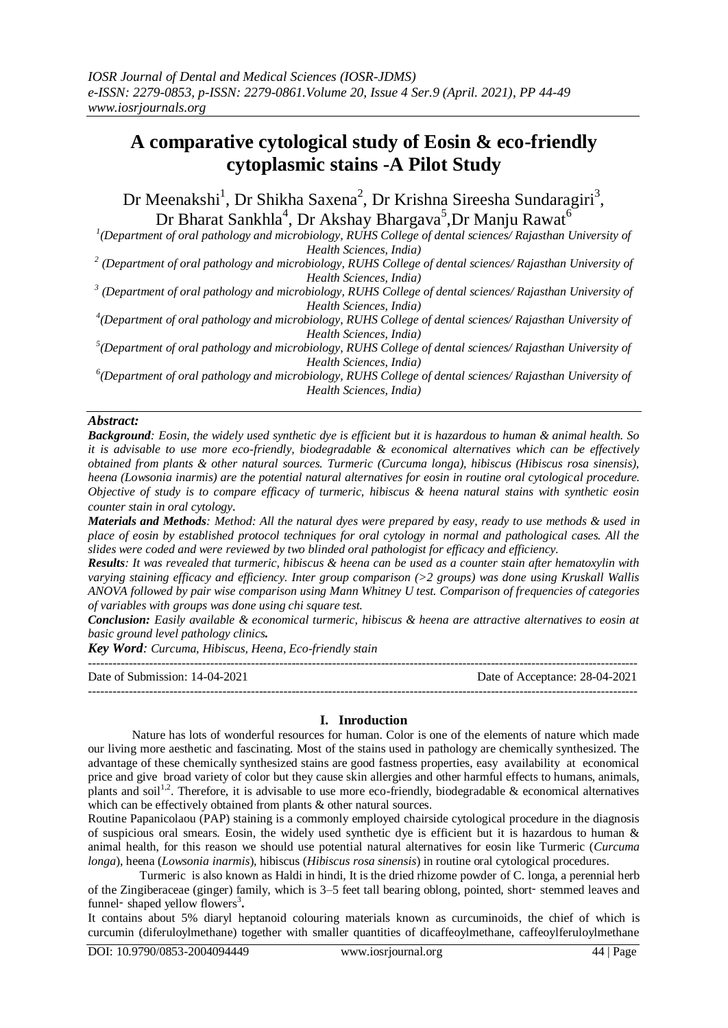# **A comparative cytological study of Eosin & eco-friendly cytoplasmic stains -A Pilot Study**

Dr Meenakshi<sup>1</sup>, Dr Shikha Saxena<sup>2</sup>, Dr Krishna Sireesha Sundaragiri<sup>3</sup>, Dr Bharat Sankhla<sup>4</sup>, Dr Akshay Bhargava<sup>5</sup>,Dr Manju Rawat<sup>6</sup>

*1 (Department of oral pathology and microbiology, RUHS College of dental sciences/ Rajasthan University of Health Sciences, India)* 

*2 (Department of oral pathology and microbiology, RUHS College of dental sciences/ Rajasthan University of Health Sciences, India)*

*3 (Department of oral pathology and microbiology, RUHS College of dental sciences/ Rajasthan University of Health Sciences, India)*

*4 (Department of oral pathology and microbiology, RUHS College of dental sciences/ Rajasthan University of Health Sciences, India)*

*5 (Department of oral pathology and microbiology, RUHS College of dental sciences/ Rajasthan University of Health Sciences, India)*

*6 (Department of oral pathology and microbiology, RUHS College of dental sciences/ Rajasthan University of Health Sciences, India)*

#### *Abstract:*

*Background: Eosin, the widely used synthetic dye is efficient but it is hazardous to human & animal health. So it is advisable to use more eco-friendly, biodegradable & economical alternatives which can be effectively obtained from plants & other natural sources. Turmeric (Curcuma longa), hibiscus (Hibiscus rosa sinensis), heena (Lowsonia inarmis) are the potential natural alternatives for eosin in routine oral cytological procedure. Objective of study is to compare efficacy of turmeric, hibiscus & heena natural stains with synthetic eosin counter stain in oral cytology.*

*Materials and Methods: Method: All the natural dyes were prepared by easy, ready to use methods & used in place of eosin by established protocol techniques for oral cytology in normal and pathological cases. All the slides were coded and were reviewed by two blinded oral pathologist for efficacy and efficiency.*

*Results: It was revealed that turmeric, hibiscus & heena can be used as a counter stain after hematoxylin with varying staining efficacy and efficiency. Inter group comparison (>2 groups) was done using Kruskall Wallis ANOVA followed by pair wise comparison using Mann Whitney U test. Comparison of frequencies of categories of variables with groups was done using chi square test.*

*Conclusion: Easily available & economical turmeric, hibiscus & heena are attractive alternatives to eosin at basic ground level pathology clinics.*

*Key Word: Curcuma, Hibiscus, Heena, Eco-friendly stain* ---------------------------------------------------------------------------------------------------------------------------------------

Date of Submission: 14-04-2021 Date of Acceptance: 28-04-2021 ---------------------------------------------------------------------------------------------------------------------------------------

## **I. Inroduction**

Nature has lots of wonderful resources for human. Color is one of the elements of nature which made our living more aesthetic and fascinating. Most of the stains used in pathology are chemically synthesized. The advantage of these chemically synthesized stains are good fastness properties, easy availability at economical price and give broad variety of color but they cause skin allergies and other harmful effects to humans, animals, plants and soil<sup>1,2</sup>. Therefore, it is advisable to use more eco-friendly, biodegradable & economical alternatives which can be effectively obtained from plants  $\&$  other natural sources.

Routine Papanicolaou (PAP) staining is a commonly employed chairside cytological procedure in the diagnosis of suspicious oral smears. Eosin, the widely used synthetic dye is efficient but it is hazardous to human  $\&$ animal health, for this reason we should use potential natural alternatives for eosin like Turmeric (*Curcuma longa*), heena (*Lowsonia inarmis*), hibiscus (*Hibiscus rosa sinensis*) in routine oral cytological procedures.

 Turmeric is also known as Haldi in hindi, It is the dried rhizome powder of C. longa, a perennial herb of the Zingiberaceae (ginger) family, which is 3–5 feet tall bearing oblong, pointed, short‑ stemmed leaves and funnel- shaped yellow flowers<sup>3</sup>.

It contains about 5% diaryl heptanoid colouring materials known as curcuminoids, the chief of which is curcumin (diferuloylmethane) together with smaller quantities of dicaffeoylmethane, caffeoylferuloylmethane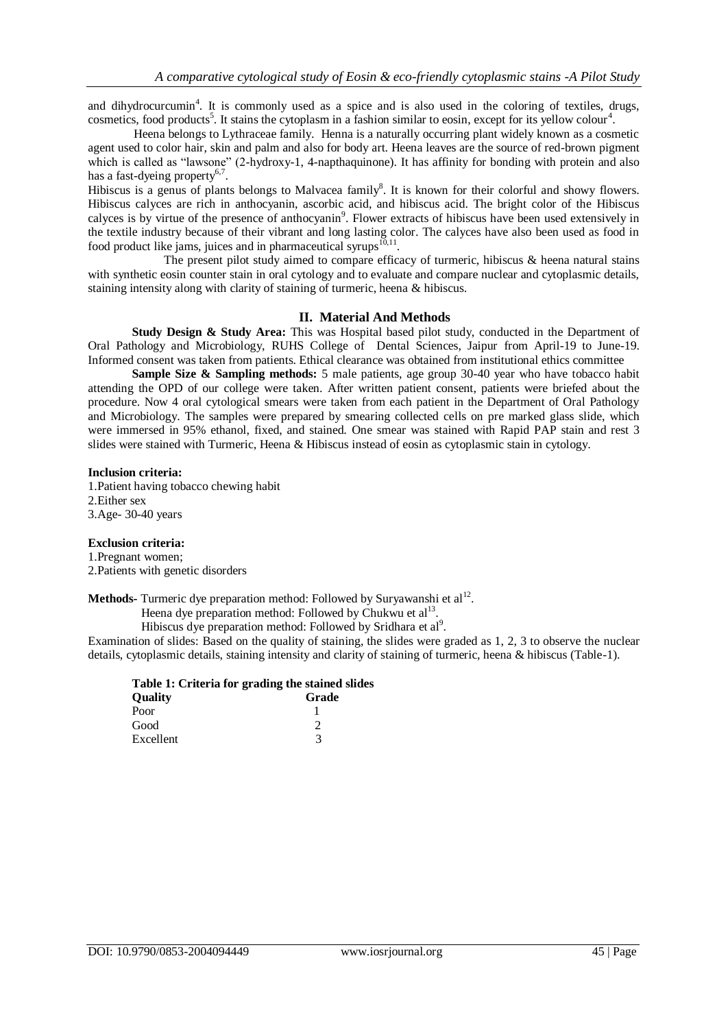and dihydrocurcumin<sup>4</sup>. It is commonly used as a spice and is also used in the coloring of textiles, drugs, cosmetics, food products<sup>5</sup>. It stains the cytoplasm in a fashion similar to eosin, except for its yellow colour<sup>4</sup>.

 Heena belongs to Lythraceae family. Henna is a naturally occurring plant widely known as a cosmetic agent used to color hair, skin and palm and also for body art. Heena leaves are the source of red-brown pigment which is called as "lawsone" (2-hydroxy-1, 4-napthaquinone). It has affinity for bonding with protein and also has a fast-dyeing property<sup>6,7</sup>.

Hibiscus is a genus of plants belongs to Malvacea family<sup>8</sup>. It is known for their colorful and showy flowers. Hibiscus calyces are rich in anthocyanin, ascorbic acid, and hibiscus acid. The bright color of the Hibiscus calyces is by virtue of the presence of anthocyanin<sup>9</sup>. Flower extracts of hibiscus have been used extensively in the textile industry because of their vibrant and long lasting color. The calyces have also been used as food in food product like jams, juices and in pharmaceutical syrups $^{10,11}$ .

 The present pilot study aimed to compare efficacy of turmeric, hibiscus & heena natural stains with synthetic eosin counter stain in oral cytology and to evaluate and compare nuclear and cytoplasmic details, staining intensity along with clarity of staining of turmeric, heena & hibiscus.

#### **II. Material And Methods**

**Study Design & Study Area:** This was Hospital based pilot study, conducted in the Department of Oral Pathology and Microbiology, RUHS College of Dental Sciences, Jaipur from April-19 to June-19. Informed consent was taken from patients. Ethical clearance was obtained from institutional ethics committee

**Sample Size & Sampling methods:** 5 male patients, age group 30-40 year who have tobacco habit attending the OPD of our college were taken. After written patient consent, patients were briefed about the procedure. Now 4 oral cytological smears were taken from each patient in the Department of Oral Pathology and Microbiology. The samples were prepared by smearing collected cells on pre marked glass slide, which were immersed in 95% ethanol, fixed, and stained. One smear was stained with Rapid PAP stain and rest 3 slides were stained with Turmeric, Heena & Hibiscus instead of eosin as cytoplasmic stain in cytology.

#### **Inclusion criteria:**

1.Patient having tobacco chewing habit 2.Either sex 3.Age- 30-40 years

#### **Exclusion criteria:**

1.Pregnant women; 2.Patients with genetic disorders

Methods- Turmeric dye preparation method: Followed by Suryawanshi et al<sup>12</sup>.

Heena dye preparation method: Followed by Chukwu et al<sup>13</sup>.

Hibiscus dye preparation method: Followed by Sridhara et al<sup>9</sup>.

Examination of slides: Based on the quality of staining, the slides were graded as 1, 2, 3 to observe the nuclear details, cytoplasmic details, staining intensity and clarity of staining of turmeric, heena & hibiscus (Table-1).

|                | Table 1: Criteria for grading the stained slides |
|----------------|--------------------------------------------------|
| <b>Ouality</b> | Grade                                            |
| Poor           |                                                  |
| Good           |                                                  |

Excellent 3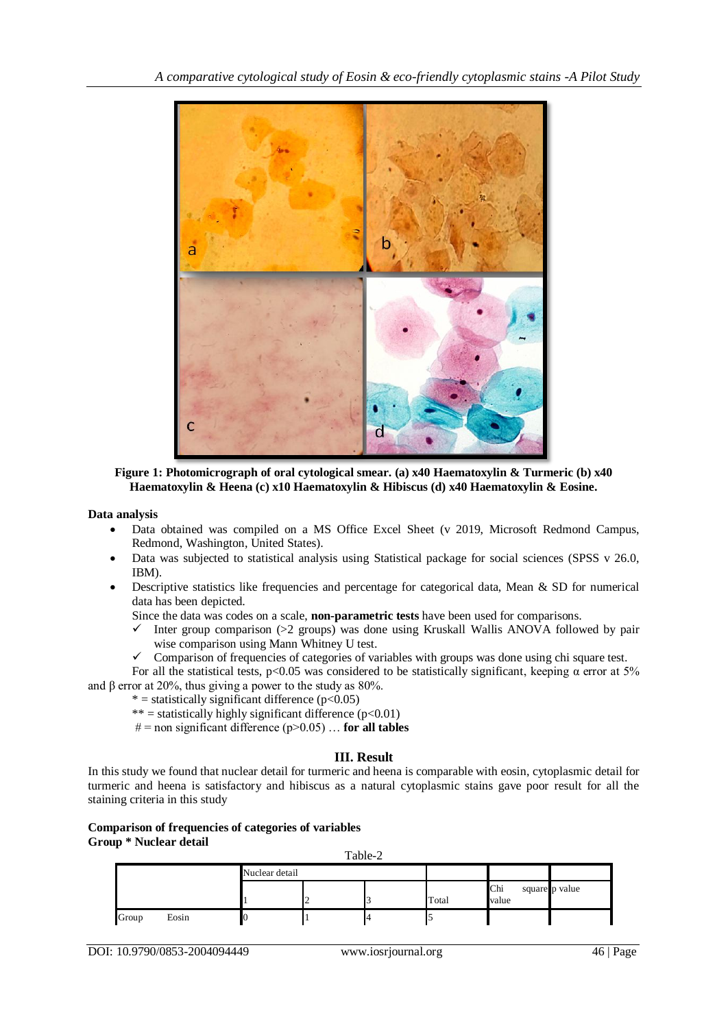

**Figure 1: Photomicrograph of oral cytological smear. (a) x40 Haematoxylin & Turmeric (b) x40 Haematoxylin & Heena (c) x10 Haematoxylin & Hibiscus (d) x40 Haematoxylin & Eosine.**

**Data analysis**

- Data obtained was compiled on a MS Office Excel Sheet (v 2019, Microsoft Redmond Campus, Redmond, Washington, United States).
- Data was subjected to statistical analysis using Statistical package for social sciences (SPSS v 26.0, IBM).
- Descriptive statistics like frequencies and percentage for categorical data, Mean & SD for numerical data has been depicted.

Since the data was codes on a scale, **non-parametric tests** have been used for comparisons.

- $\checkmark$  Inter group comparison (>2 groups) was done using Kruskall Wallis ANOVA followed by pair wise comparison using Mann Whitney U test.
- $\checkmark$  Comparison of frequencies of categories of variables with groups was done using chi square test.

For all the statistical tests,  $p<0.05$  was considered to be statistically significant, keeping  $\alpha$  error at 5% and  $\beta$  error at 20%, thus giving a power to the study as 80%.

- $*$  = statistically significant difference (p<0.05)
	- \*\* = statistically highly significant difference  $(p<0.01)$
	- $# =$ non significant difference (p>0.05) ... **for all tables**

### **III. Result**

In this study we found that nuclear detail for turmeric and heena is comparable with eosin, cytoplasmic detail for turmeric and heena is satisfactory and hibiscus as a natural cytoplasmic stains gave poor result for all the staining criteria in this study

#### **Comparison of frequencies of categories of variables Group \* Nuclear detail**

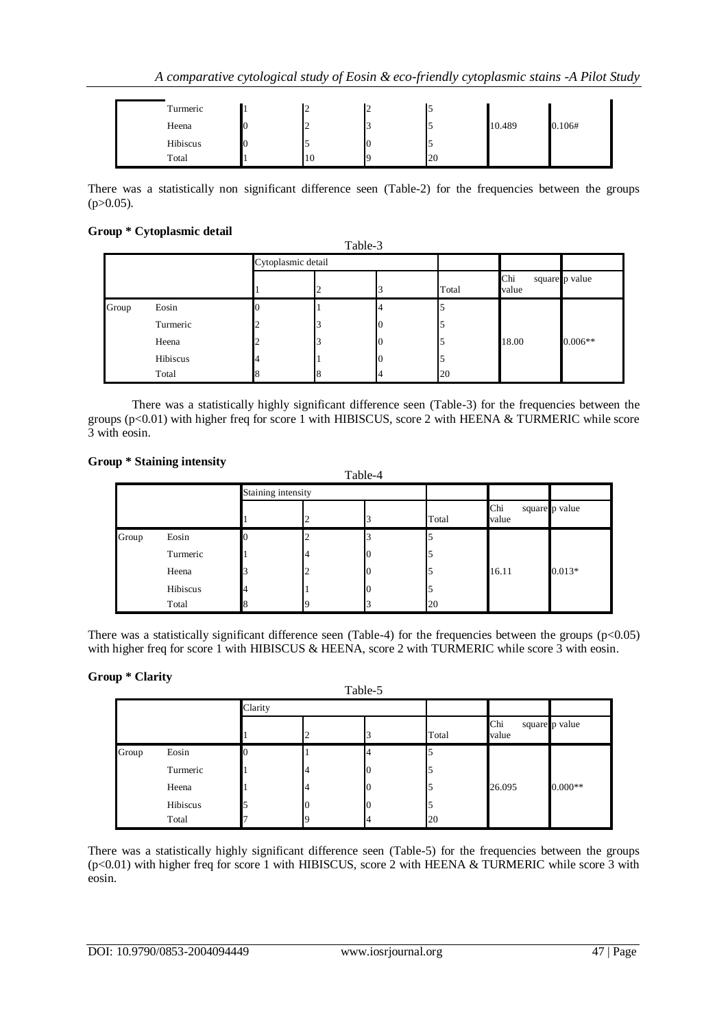| Turmeric | ∽  | ∼ |    |        |        |
|----------|----|---|----|--------|--------|
| Heena    | ∸  |   |    | 10.489 | 0.106# |
| Hibiscus |    |   |    |        |        |
| Total    | 10 |   | 20 |        |        |

There was a statistically non significant difference seen (Table-2) for the frequencies between the groups  $(p>0.05)$ .

#### **Group \* Cytoplasmic detail**

|       |          |                    | Table-3 |  |       |              |                |
|-------|----------|--------------------|---------|--|-------|--------------|----------------|
|       |          | Cytoplasmic detail |         |  |       |              |                |
|       |          |                    |         |  | Total | Chi<br>value | square p value |
| Group | Eosin    |                    |         |  |       |              |                |
|       | Turmeric |                    |         |  |       |              |                |
|       | Heena    |                    |         |  |       | 18.00        | $0.006**$      |
|       | Hibiscus |                    |         |  |       |              |                |
|       | Total    |                    |         |  | 20    |              |                |

There was a statistically highly significant difference seen (Table-3) for the frequencies between the groups (p<0.01) with higher freq for score 1 with HIBISCUS, score 2 with HEENA & TURMERIC while score 3 with eosin.

#### **Group \* Staining intensity**

|       |          |                    |   | Table-4 |       |              |                |
|-------|----------|--------------------|---|---------|-------|--------------|----------------|
|       |          | Staining intensity |   |         |       |              |                |
|       |          |                    |   |         | Total | Chi<br>value | square p value |
| Group | Eosin    |                    | ∠ |         |       |              |                |
|       | Turmeric |                    | 4 |         |       |              |                |
|       | Heena    |                    | ∠ |         |       | 16.11        | $0.013*$       |
|       | Hibiscus |                    |   |         |       |              |                |
|       | Total    |                    |   |         | 20    |              |                |

There was a statistically significant difference seen (Table-4) for the frequencies between the groups  $(p<0.05)$ with higher freq for score 1 with HIBISCUS & HEENA, score 2 with TURMERIC while score 3 with eosin.

#### **Group \* Clarity**

| $\overline{\phantom{a}}$<br>$\cdot$<br>Table-5 |          |         |  |                |       |              |                |  |  |  |
|------------------------------------------------|----------|---------|--|----------------|-------|--------------|----------------|--|--|--|
|                                                |          | Clarity |  |                |       |              |                |  |  |  |
|                                                |          |         |  |                | Total | Chi<br>value | square p value |  |  |  |
| Group                                          | Eosin    |         |  | $\overline{4}$ |       |              |                |  |  |  |
|                                                | Turmeric |         |  |                |       |              |                |  |  |  |
|                                                | Heena    |         |  |                |       | 26.095       | $0.000**$      |  |  |  |
|                                                | Hibiscus |         |  |                |       |              |                |  |  |  |
|                                                | Total    |         |  | 4              | 20    |              |                |  |  |  |

There was a statistically highly significant difference seen (Table-5) for the frequencies between the groups (p<0.01) with higher freq for score 1 with HIBISCUS, score 2 with HEENA & TURMERIC while score 3 with eosin.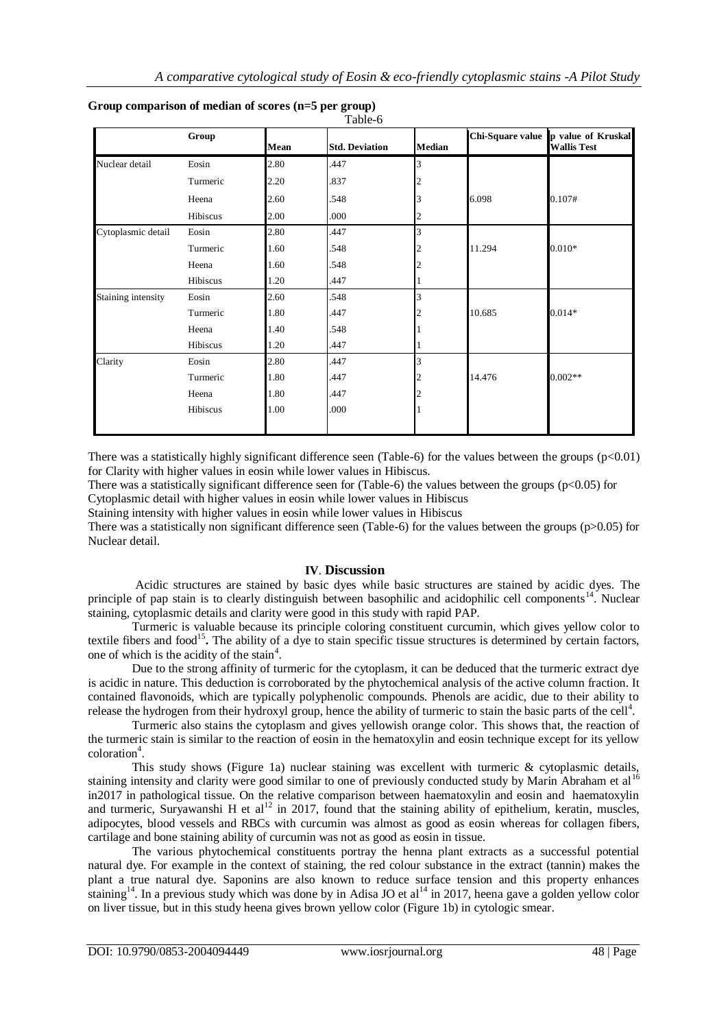|                    | Group    | Mean | <b>Std. Deviation</b> | <b>Median</b> |        | Chi-Square value p value of Kruskal<br><b>Wallis Test</b> |
|--------------------|----------|------|-----------------------|---------------|--------|-----------------------------------------------------------|
| Nuclear detail     | Eosin    | 2.80 | .447                  | 3             |        |                                                           |
|                    | Turmeric | 2.20 | .837                  |               |        |                                                           |
|                    | Heena    | 2.60 | .548                  | 3             | 6.098  | 0.107#                                                    |
|                    | Hibiscus | 2.00 | .000                  |               |        |                                                           |
| Cytoplasmic detail | Eosin    | 2.80 | .447                  | 3             |        |                                                           |
|                    | Turmeric | 1.60 | .548                  |               | 11.294 | $0.010*$                                                  |
|                    | Heena    | 1.60 | .548                  |               |        |                                                           |
|                    | Hibiscus | 1.20 | .447                  |               |        |                                                           |
| Staining intensity | Eosin    | 2.60 | .548                  | 3             |        |                                                           |
|                    | Turmeric | 1.80 | .447                  |               | 10.685 | $0.014*$                                                  |
|                    | Heena    | 1.40 | .548                  |               |        |                                                           |
|                    | Hibiscus | 1.20 | .447                  |               |        |                                                           |
| Clarity            | Eosin    | 2.80 | .447                  | 3             |        |                                                           |
|                    | Turmeric | 1.80 | .447                  |               | 14.476 | $0.002**$                                                 |
|                    | Heena    | 1.80 | .447                  |               |        |                                                           |
|                    | Hibiscus | 1.00 | .000                  |               |        |                                                           |

| Group comparison of median of scores $(n=5$ per group) |  |  |  |
|--------------------------------------------------------|--|--|--|
|                                                        |  |  |  |

There was a statistically highly significant difference seen (Table-6) for the values between the groups  $(p<0.01)$ for Clarity with higher values in eosin while lower values in Hibiscus.

There was a statistically significant difference seen for (Table-6) the values between the groups (p<0.05) for Cytoplasmic detail with higher values in eosin while lower values in Hibiscus

Staining intensity with higher values in eosin while lower values in Hibiscus

There was a statistically non significant difference seen (Table-6) for the values between the groups ( $p>0.05$ ) for Nuclear detail.

#### **IV**. **Discussion**

Acidic structures are stained by basic dyes while basic structures are stained by acidic dyes. The principle of pap stain is to clearly distinguish between basophilic and acidophilic cell components<sup>14</sup>. Nuclear staining, cytoplasmic details and clarity were good in this study with rapid PAP.

Turmeric is valuable because its principle coloring constituent curcumin, which gives yellow color to textile fibers and food<sup>15</sup>. The ability of a dye to stain specific tissue structures is determined by certain factors, one of which is the acidity of the stain<sup>4</sup>.

Due to the strong affinity of turmeric for the cytoplasm, it can be deduced that the turmeric extract dye is acidic in nature. This deduction is corroborated by the phytochemical analysis of the active column fraction. It contained flavonoids, which are typically polyphenolic compounds. Phenols are acidic, due to their ability to release the hydrogen from their hydroxyl group, hence the ability of turmeric to stain the basic parts of the cell<sup>4</sup>.

Turmeric also stains the cytoplasm and gives yellowish orange color. This shows that, the reaction of the turmeric stain is similar to the reaction of eosin in the hematoxylin and eosin technique except for its yellow coloration<sup>4</sup>.

This study shows (Figure 1a) nuclear staining was excellent with turmeric & cytoplasmic details, staining intensity and clarity were good similar to one of previously conducted study by Marin Abraham et al<sup>16</sup> in2017 in pathological tissue. On the relative comparison between haematoxylin and eosin and haematoxylin and turmeric, Suryawanshi H et al<sup>12</sup> in 2017, found that the staining ability of epithelium, keratin, muscles, adipocytes, blood vessels and RBCs with curcumin was almost as good as eosin whereas for collagen fibers, cartilage and bone staining ability of curcumin was not as good as eosin in tissue.

The various phytochemical constituents portray the henna plant extracts as a successful potential natural dye. For example in the context of staining, the red colour substance in the extract (tannin) makes the plant a true natural dye. Saponins are also known to reduce surface tension and this property enhances staining<sup>14</sup>. In a previous study which was done by in Adisa JO et al<sup>14</sup> in 2017, heena gave a golden yellow color on liver tissue, but in this study heena gives brown yellow color (Figure 1b) in cytologic smear.